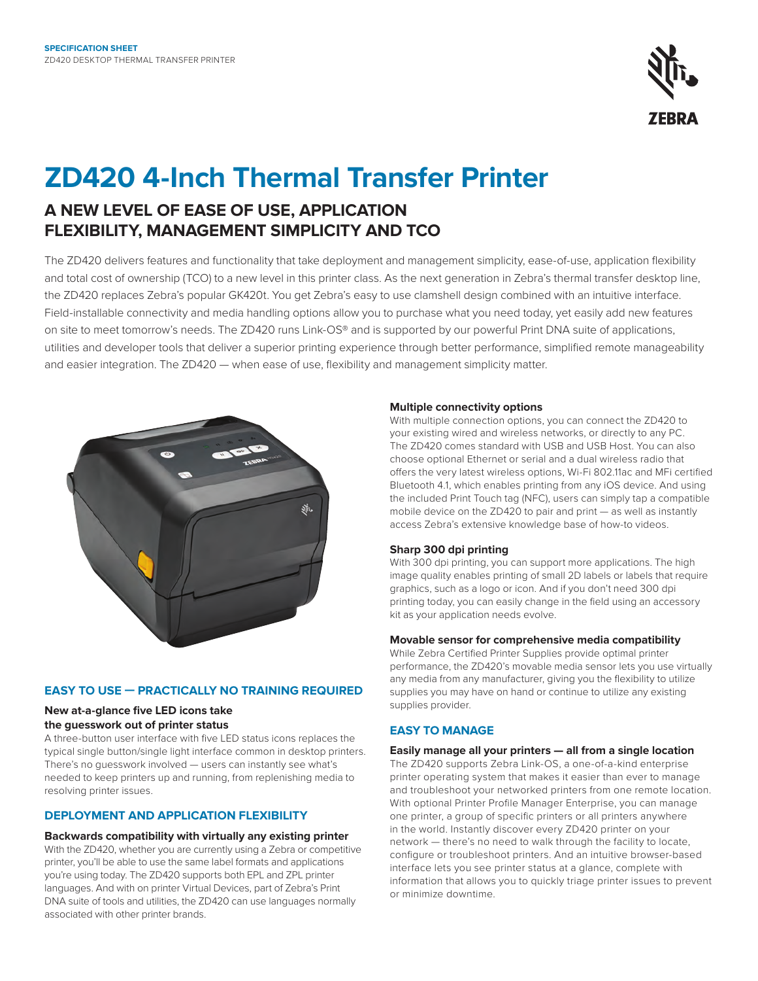

# **ZD420 4-Inch Thermal Transfer Printer**

## **A NEW LEVEL OF EASE OF USE, APPLICATION FLEXIBILITY, MANAGEMENT SIMPLICITY AND TCO**

The ZD420 delivers features and functionality that take deployment and management simplicity, ease-of-use, application flexibility and total cost of ownership (TCO) to a new level in this printer class. As the next generation in Zebra's thermal transfer desktop line, the ZD420 replaces Zebra's popular GK420t. You get Zebra's easy to use clamshell design combined with an intuitive interface. Field-installable connectivity and media handling options allow you to purchase what you need today, yet easily add new features on site to meet tomorrow's needs. The ZD420 runs Link-OS® and is supported by our powerful Print DNA suite of applications, utilities and developer tools that deliver a superior printing experience through better performance, simplified remote manageability and easier integration. The ZD420 — when ease of use, flexibility and management simplicity matter.



#### **EASY TO USE — PRACTICALLY NO TRAINING REQUIRED**

### **New at-a-glance five LED icons take**

#### **the guesswork out of printer status**

A three-button user interface with five LED status icons replaces the typical single button/single light interface common in desktop printers. There's no guesswork involved — users can instantly see what's needed to keep printers up and running, from replenishing media to resolving printer issues.

#### **DEPLOYMENT AND APPLICATION FLEXIBILITY**

#### **Backwards compatibility with virtually any existing printer**

With the ZD420, whether you are currently using a Zebra or competitive printer, you'll be able to use the same label formats and applications you're using today. The ZD420 supports both EPL and ZPL printer languages. And with on printer Virtual Devices, part of Zebra's Print DNA suite of tools and utilities, the ZD420 can use languages normally associated with other printer brands.

#### **Multiple connectivity options**

With multiple connection options, you can connect the ZD420 to your existing wired and wireless networks, or directly to any PC. The ZD420 comes standard with USB and USB Host. You can also choose optional Ethernet or serial and a dual wireless radio that offers the very latest wireless options, Wi-Fi 802.11ac and MFi certified Bluetooth 4.1, which enables printing from any iOS device. And using the included Print Touch tag (NFC), users can simply tap a compatible mobile device on the ZD420 to pair and print — as well as instantly access Zebra's extensive knowledge base of how-to videos.

#### **Sharp 300 dpi printing**

With 300 dpi printing, you can support more applications. The high image quality enables printing of small 2D labels or labels that require graphics, such as a logo or icon. And if you don't need 300 dpi printing today, you can easily change in the field using an accessory kit as your application needs evolve.

#### **Movable sensor for comprehensive media compatibility**

While Zebra Certified Printer Supplies provide optimal printer performance, the ZD420's movable media sensor lets you use virtually any media from any manufacturer, giving you the flexibility to utilize supplies you may have on hand or continue to utilize any existing supplies provider.

#### **EASY TO MANAGE**

#### **Easily manage all your printers — all from a single location**

The ZD420 supports Zebra Link-OS, a one-of-a-kind enterprise printer operating system that makes it easier than ever to manage and troubleshoot your networked printers from one remote location. With optional Printer Profile Manager Enterprise, you can manage one printer, a group of specific printers or all printers anywhere in the world. Instantly discover every ZD420 printer on your network — there's no need to walk through the facility to locate, configure or troubleshoot printers. And an intuitive browser-based interface lets you see printer status at a glance, complete with information that allows you to quickly triage printer issues to prevent or minimize downtime.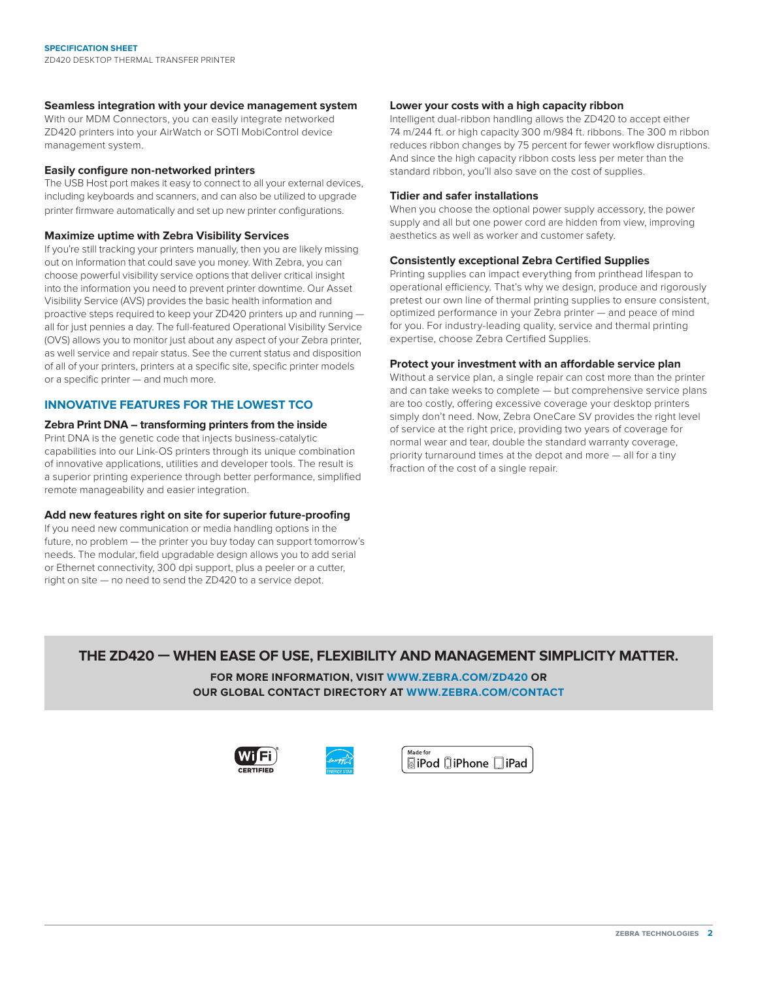#### **Seamless integration with your device management system**

With our MDM Connectors, you can easily integrate networked ZD420 printers into your AirWatch or SOTI MobiControl device management system.

#### **Easily configure non-networked printers**

The USB Host port makes it easy to connect to all your external devices, including keyboards and scanners, and can also be utilized to upgrade printer firmware automatically and set up new printer configurations.

#### **Maximize uptime with Zebra Visibility Services**

If you're still tracking your printers manually, then you are likely missing out on information that could save you money. With Zebra, you can choose powerful visibility service options that deliver critical insight into the information you need to prevent printer downtime. Our Asset Visibility Service (AVS) provides the basic health information and proactive steps required to keep your ZD420 printers up and running all for just pennies a day. The full-featured Operational Visibility Service (OVS) allows you to monitor just about any aspect of your Zebra printer, as well service and repair status. See the current status and disposition of all of your printers, printers at a specific site, specific printer models or a specific printer — and much more.

#### **INNOVATIVE FEATURES FOR THE LOWEST TCO**

#### **Zebra Print DNA – transforming printers from the inside**

Print DNA is the genetic code that injects business-catalytic capabilities into our Link-OS printers through its unique combination of innovative applications, utilities and developer tools. The result is a superior printing experience through better performance, simplified remote manageability and easier integration.

#### **Add new features right on site for superior future-proofing**

If you need new communication or media handling options in the future, no problem — the printer you buy today can support tomorrow's needs. The modular, field upgradable design allows you to add serial or Ethernet connectivity, 300 dpi support, plus a peeler or a cutter, right on site — no need to send the ZD420 to a service depot.

#### **Lower your costs with a high capacity ribbon**

Intelligent dual-ribbon handling allows the ZD420 to accept either 74 m/244 ft. or high capacity 300 m/984 ft. ribbons. The 300 m ribbon reduces ribbon changes by 75 percent for fewer workflow disruptions. And since the high capacity ribbon costs less per meter than the standard ribbon, you'll also save on the cost of supplies.

#### **Tidier and safer installations**

When you choose the optional power supply accessory, the power supply and all but one power cord are hidden from view, improving aesthetics as well as worker and customer safety.

#### **Consistently exceptional Zebra Certified Supplies**

Printing supplies can impact everything from printhead lifespan to operational efficiency. That's why we design, produce and rigorously pretest our own line of thermal printing supplies to ensure consistent, optimized performance in your Zebra printer — and peace of mind for you. For industry-leading quality, service and thermal printing expertise, choose Zebra Certified Supplies.

#### **Protect your investment with an affordable service plan**

Without a service plan, a single repair can cost more than the printer and can take weeks to complete — but comprehensive service plans are too costly, offering excessive coverage your desktop printers simply don't need. Now, Zebra OneCare SV provides the right level of service at the right price, providing two years of coverage for normal wear and tear, double the standard warranty coverage, priority turnaround times at the depot and more — all for a tiny fraction of the cost of a single repair.

#### **THE ZD420 — WHEN EASE OF USE, FLEXIBILITY AND MANAGEMENT SIMPLICITY MATTER.**

**FOR MORE INFORMATION, VISIT [WWW.ZEBRA.COM/ZD420](http://www.zebra.com/zd420) OR OUR GLOBAL CONTACT DIRECTORY AT [WWW.ZEBRA.COM/CONTACT](http://www.zebra.com/contact)**





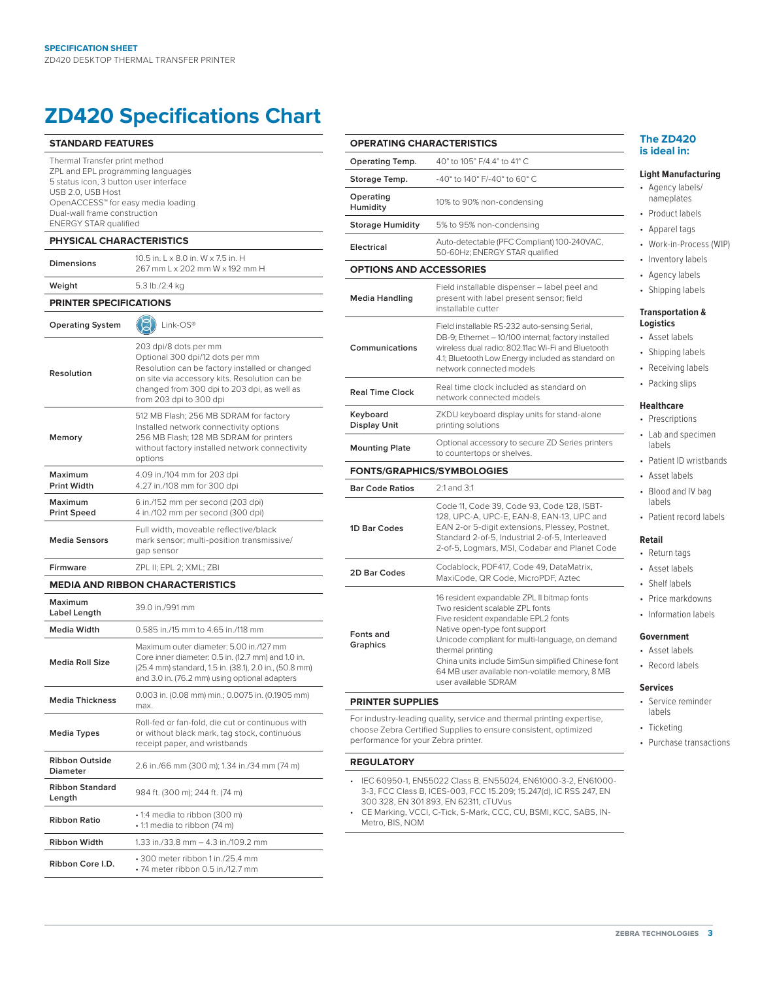## **ZD420 Specifications Chart**

| <b>STANDARD FEATURES</b>                                                                                                                                                                                            |                                                                                                                                                                                                          | <b>OPERATING CHARACTERISTIC:</b>                                                                                                                                           |                                                                                               |
|---------------------------------------------------------------------------------------------------------------------------------------------------------------------------------------------------------------------|----------------------------------------------------------------------------------------------------------------------------------------------------------------------------------------------------------|----------------------------------------------------------------------------------------------------------------------------------------------------------------------------|-----------------------------------------------------------------------------------------------|
| Thermal Transfer print method<br>ZPL and EPL programming languages<br>5 status icon, 3 button user interface<br>USB 2.0, USB Host<br>OpenACCESS <sup>™</sup> for easy media loading<br>Dual-wall frame construction |                                                                                                                                                                                                          | <b>Operating Temp.</b>                                                                                                                                                     | 40° to 105° F/4.                                                                              |
|                                                                                                                                                                                                                     |                                                                                                                                                                                                          | Storage Temp.                                                                                                                                                              | $-40^{\circ}$ to 140° F/-4                                                                    |
|                                                                                                                                                                                                                     |                                                                                                                                                                                                          | Operating<br>Humidity                                                                                                                                                      | 10% to 90% nor                                                                                |
| <b>ENERGY STAR qualified</b>                                                                                                                                                                                        |                                                                                                                                                                                                          | <b>Storage Humidity</b>                                                                                                                                                    | 5% to 95% non-                                                                                |
| <b>PHYSICAL CHARACTERISTICS</b>                                                                                                                                                                                     |                                                                                                                                                                                                          | Electrical                                                                                                                                                                 | Auto-detectable<br>50-60Hz; ENER                                                              |
| Dimensions                                                                                                                                                                                                          | 10.5 in. L x 8.0 in. W x 7.5 in. H<br>267 mm L x 202 mm W x 192 mm H                                                                                                                                     | <b>OPTIONS AND ACCESSORIES</b>                                                                                                                                             |                                                                                               |
| Weight                                                                                                                                                                                                              | 5.3 lb./2.4 kg                                                                                                                                                                                           |                                                                                                                                                                            | Field installable                                                                             |
| <b>PRINTER SPECIFICATIONS</b>                                                                                                                                                                                       |                                                                                                                                                                                                          | <b>Media Handling</b>                                                                                                                                                      | present with lal<br>installable cutte                                                         |
| <b>Operating System</b>                                                                                                                                                                                             | Link-OS®                                                                                                                                                                                                 |                                                                                                                                                                            | Field installable<br>DB-9; Ethernet -                                                         |
| Resolution                                                                                                                                                                                                          | 203 dpi/8 dots per mm<br>Optional 300 dpi/12 dots per mm<br>Resolution can be factory installed or changed<br>on site via accessory kits. Resolution can be                                              | Communications                                                                                                                                                             | wireless dual ra<br>4.1; Bluetooth Lo<br>network connec                                       |
|                                                                                                                                                                                                                     | changed from 300 dpi to 203 dpi, as well as<br>from 203 dpi to 300 dpi                                                                                                                                   | <b>Real Time Clock</b>                                                                                                                                                     | Real time clock<br>network conne                                                              |
|                                                                                                                                                                                                                     | 512 MB Flash; 256 MB SDRAM for factory<br>Installed network connectivity options                                                                                                                         | Keyboard<br><b>Display Unit</b>                                                                                                                                            | ZKDU keyboard<br>printing solution                                                            |
| Memory                                                                                                                                                                                                              | 256 MB Flash; 128 MB SDRAM for printers<br>without factory installed network connectivity<br>options                                                                                                     | <b>Mounting Plate</b>                                                                                                                                                      | Optional access<br>to countertops                                                             |
| Maximum                                                                                                                                                                                                             | 4.09 in./104 mm for 203 dpi                                                                                                                                                                              | FONTS/GRAPHICS/SYMBOLOG                                                                                                                                                    |                                                                                               |
| <b>Print Width</b>                                                                                                                                                                                                  | 4.27 in./108 mm for 300 dpi                                                                                                                                                                              | <b>Bar Code Ratios</b>                                                                                                                                                     | 2:1 and 3:1                                                                                   |
| Maximum<br><b>Print Speed</b>                                                                                                                                                                                       | 6 in./152 mm per second (203 dpi)<br>4 in./102 mm per second (300 dpi)                                                                                                                                   | Code 11, Code:<br>128, UPC-A, UP                                                                                                                                           |                                                                                               |
| <b>Media Sensors</b>                                                                                                                                                                                                | Full width, moveable reflective/black<br>mark sensor; multi-position transmissive/<br>gap sensor                                                                                                         | 1D Bar Codes                                                                                                                                                               | EAN 2-or 5-dig<br>Standard 2-of-5<br>2-of-5, Logmar                                           |
| <b>Firmware</b>                                                                                                                                                                                                     | ZPL II; EPL 2; XML; ZBI                                                                                                                                                                                  | 2D Bar Codes                                                                                                                                                               | Codablock, PD                                                                                 |
|                                                                                                                                                                                                                     | <b>MEDIA AND RIBBON CHARACTERISTICS</b>                                                                                                                                                                  |                                                                                                                                                                            | MaxiCode, QR                                                                                  |
| Maximum<br>Label Length                                                                                                                                                                                             | 39.0 in./991 mm                                                                                                                                                                                          |                                                                                                                                                                            | 16 resident expa<br>Two resident sc<br>Five resident ex                                       |
| Media Width                                                                                                                                                                                                         | 0.585 in./15 mm to 4.65 in./118 mm                                                                                                                                                                       | Fonts and                                                                                                                                                                  | Native open-typ                                                                               |
| <b>Media Roll Size</b>                                                                                                                                                                                              | Maximum outer diameter: 5.00 in./127 mm<br>Core inner diameter: 0.5 in. (12.7 mm) and 1.0 in.<br>(25.4 mm) standard, 1.5 in. (38.1), 2.0 in., (50.8 mm)<br>and 3.0 in. (76.2 mm) using optional adapters | <b>Graphics</b>                                                                                                                                                            | Unicode compli<br>thermal printing<br>China units inclu<br>64 MB user ava<br>user available S |
| <b>Media Thickness</b>                                                                                                                                                                                              | 0.003 in. (0.08 mm) min.; 0.0075 in. (0.1905 mm)<br>max.                                                                                                                                                 | <b>PRINTER SUPPLIES</b>                                                                                                                                                    |                                                                                               |
| <b>Media Types</b>                                                                                                                                                                                                  | Roll-fed or fan-fold, die cut or continuous with<br>or without black mark, tag stock, continuous<br>receipt paper, and wristbands                                                                        | For industry-leading quality, service ar<br>choose Zebra Certified Supplies to en<br>performance for your Zebra printer.                                                   |                                                                                               |
| <b>Ribbon Outside</b><br><b>Diameter</b>                                                                                                                                                                            | 2.6 in./66 mm (300 m); 1.34 in./34 mm (74 m)                                                                                                                                                             | <b>REGULATORY</b>                                                                                                                                                          |                                                                                               |
| <b>Ribbon Standard</b><br>Length                                                                                                                                                                                    | 984 ft. (300 m); 244 ft. (74 m)                                                                                                                                                                          | • IEC 60950-1, EN55022 Class B, EN<br>3-3, FCC Class B, ICES-003, FCC 1!<br>300 328, EN 301 893, EN 62311, cTI<br>• CE Marking, VCCI, C-Tick, S-Mark, I<br>Metro, BIS, NOM |                                                                                               |
| Ribbon Ratio                                                                                                                                                                                                        | • 1:4 media to ribbon (300 m)<br>• 1:1 media to ribbon (74 m)                                                                                                                                            |                                                                                                                                                                            |                                                                                               |
| Ribbon Width                                                                                                                                                                                                        | 1.33 in./33.8 mm - 4.3 in./109.2 mm                                                                                                                                                                      |                                                                                                                                                                            |                                                                                               |
| Ribbon Core I.D.                                                                                                                                                                                                    | • 300 meter ribbon 1 in./25.4 mm<br>• 74 meter ribbon 0.5 in./12.7 mm                                                                                                                                    |                                                                                                                                                                            |                                                                                               |
|                                                                                                                                                                                                                     |                                                                                                                                                                                                          |                                                                                                                                                                            |                                                                                               |

| <b>OPERATING CHARACTERISTICS</b>  |                                                                                                                                                                                                                                                              | The ZD420                                                                        |  |
|-----------------------------------|--------------------------------------------------------------------------------------------------------------------------------------------------------------------------------------------------------------------------------------------------------------|----------------------------------------------------------------------------------|--|
|                                   |                                                                                                                                                                                                                                                              | is ideal in:                                                                     |  |
| Operating Temp.                   | 40° to 105° F/4.4° to 41° C                                                                                                                                                                                                                                  | Light Manufa                                                                     |  |
| Storage Temp.<br>Operating        | -40° to 140° F/-40° to 60° C                                                                                                                                                                                                                                 | • Agency labe                                                                    |  |
| Humidity                          | 10% to 90% non-condensing                                                                                                                                                                                                                                    | nameplates                                                                       |  |
| <b>Storage Humidity</b>           | 5% to 95% non-condensing                                                                                                                                                                                                                                     | • Product labe                                                                   |  |
|                                   | Auto-detectable (PFC Compliant) 100-240VAC,                                                                                                                                                                                                                  | • Apparel tags<br>• Work-in-Pro                                                  |  |
| Electrical                        | 50-60Hz; ENERGY STAR qualified                                                                                                                                                                                                                               |                                                                                  |  |
| <b>OPTIONS AND ACCESSORIES</b>    | · Inventory la                                                                                                                                                                                                                                               |                                                                                  |  |
| <b>Media Handling</b>             | Field installable dispenser - label peel and<br>present with label present sensor; field<br>installable cutter                                                                                                                                               | • Agency labe<br>• Shipping lab                                                  |  |
| Communications                    | Field installable RS-232 auto-sensing Serial,<br>DB-9; Ethernet - 10/100 internal; factory installed<br>wireless dual radio: 802.11ac Wi-Fi and Bluetooth<br>4.1; Bluetooth Low Energy included as standard on<br>network connected models                   | Transportatio<br>Logistics<br>• Asset labels<br>• Shipping lat<br>• Receiving la |  |
| <b>Real Time Clock</b>            | Real time clock included as standard on<br>network connected models                                                                                                                                                                                          | • Packing slip                                                                   |  |
| Keyboard<br><b>Display Unit</b>   | ZKDU keyboard display units for stand-alone<br>printing solutions                                                                                                                                                                                            | <b>Healthcare</b><br>• Prescription                                              |  |
| <b>Mounting Plate</b>             | Optional accessory to secure ZD Series printers<br>to countertops or shelves.                                                                                                                                                                                | • Lab and spe<br>labels                                                          |  |
| <b>FONTS/GRAPHICS/SYMBOLOGIES</b> |                                                                                                                                                                                                                                                              | • Patient ID w                                                                   |  |
| <b>Bar Code Ratios</b>            | • Asset labels<br>• Blood and IV                                                                                                                                                                                                                             |                                                                                  |  |
| 1D Bar Codes                      | 2:1 and 3:1<br>Code 11, Code 39, Code 93, Code 128, ISBT-<br>128, UPC-A, UPC-E, EAN-8, EAN-13, UPC and<br>EAN 2-or 5-digit extensions, Plessey, Postnet,<br>Standard 2-of-5, Industrial 2-of-5, Interleaved<br>2-of-5, Logmars, MSI, Codabar and Planet Code | labels<br>• Patient reco<br>Retail<br>• Return tags                              |  |
| 2D Bar Codes                      | Codablock, PDF417, Code 49, DataMatrix,<br>MaxiCode, QR Code, MicroPDF, Aztec                                                                                                                                                                                | Asset labels<br>Shelf labels                                                     |  |
|                                   | 16 resident expandable ZPL II bitmap fonts<br>Two resident scalable ZPL fonts<br>Five resident expandable EPL2 fonts<br>Native open-type font support                                                                                                        | Price markd<br>Information                                                       |  |
| Fonts and<br>Graphics             | Unicode compliant for multi-language, on demand<br>thermal printing<br>China units include SimSun simplified Chinese font                                                                                                                                    | Government<br>• Asset labels<br>• Record labe                                    |  |
|                                   | 64 MB user available non-volatile memory, 8 MB<br>user available SDRAM                                                                                                                                                                                       |                                                                                  |  |
| <b>PRINTER SUPPLIES</b>           |                                                                                                                                                                                                                                                              | <b>Services</b><br>• Service rem                                                 |  |
|                                   |                                                                                                                                                                                                                                                              | lahale                                                                           |  |

nd thermal printing expertise, nsure consistent, optimized

- IEC 60950-1, EN55022 Class B, EN55024, EN61000-3-2, EN61000- 5.209; 15.247(d), IC RSS 247, EN UVus
- CCC, CU, BSMI, KCC, SABS, IN-

#### **The ZD420 is ideal in:**

#### **Light Manufacturing**

- els/ nameplates
- oels
- gs
- ocess (WIP)
- abels
- els
- **bels**

## ion &

- **bels**
- labels
- ips
- $ns$ ecimen
- wristbands
- Asset labels
- IV bag
- ord labels
- 
- 
- Shelf labels
- Price markdowns
- n labels
- Asset labels
	- els
- minder labels
- Ticketing
- Purchase transactions